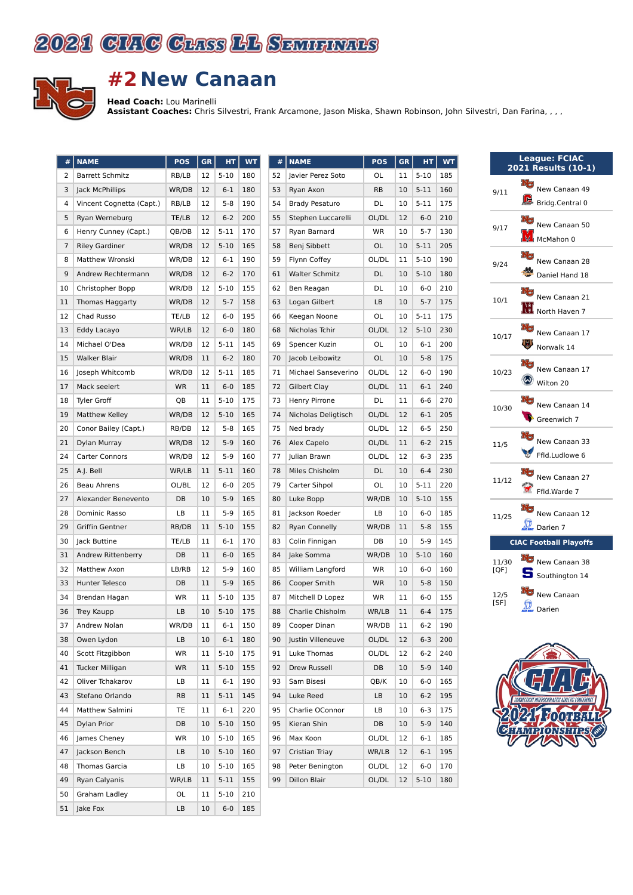



## **#2 New Canaan**

**Head Coach:** Lou Marinelli

**Assistant Coaches:** Chris Silvestri, Frank Arcamone, Jason Miska, Shawn Robinson, John Silvestri, Dan Farina, , , ,

|  | #        | <b>NAME</b>                    | <b>POS</b> | <b>GR</b> | HТ                | <b>WT</b>  | #        | I                        |
|--|----------|--------------------------------|------------|-----------|-------------------|------------|----------|--------------------------|
|  | 2        | <b>Barrett Schmitz</b>         | RB/LB      | 12        | $5-10$            | 180        | 52       | J                        |
|  | 3        | Jack McPhillips                | WR/DB      | 12        | $6 - 1$           | 180        | 53       | I                        |
|  | 4        | Vincent Cognetta (Capt.)       | RB/LB      | 12        | 5-8               | 190        | 54       | I                        |
|  | 5        | Ryan Werneburg                 | TE/LB      | 12        | $6 - 2$           | 200        | 55       | $\ddot{\phantom{0}}$     |
|  | 6        | Henry Cunney (Capt.)           | QB/DB      | 12        | $5 - 11$          | 170        | 57       | I                        |
|  | 7        | <b>Riley Gardiner</b>          | WR/DB      | 12        | $5-10$            | 165        | 58       | I                        |
|  | 8        | Matthew Wronski                | WR/DB      | 12        | $6 - 1$           | 190        | 59       | I                        |
|  | 9        | Andrew Rechtermann             | WR/DB      | 12        | $6 - 2$           | 170        | 61       |                          |
|  | 10       | Christopher Bopp               | WR/DB      | 12        | $5 - 10$          | 155        | 62       | I                        |
|  | 11       | Thomas Haggarty                | WR/DB      | 12        | $5 - 7$           | 158        | 63       | ı                        |
|  | 12       | Chad Russo                     | TE/LB      | 12        | $6-0$             | 195        | 66       | I                        |
|  | 13       | Eddy Lacayo                    | WR/LB      | 12        | $6-0$             | 180        | 68       | ı                        |
|  | 14       | Michael O'Dea                  | WR/DB      | 12        | $5 - 11$          | 145        | 69       | í                        |
|  | 15       | Walker Blair                   | WR/DB      | 11        | $6 - 2$           | 180        | 70       | J                        |
|  | 16       | Joseph Whitcomb                | WR/DB      | 12        | $5 - 11$          | 185        | 71       | I                        |
|  | 17       | Mack seelert                   | <b>WR</b>  | 11        | $6-0$             | 185        | 72       | $\overline{\phantom{a}}$ |
|  | 18       | <b>Tyler Groff</b>             | QB         | 11        | $5 - 10$          | 175        | 73       | I                        |
|  | 19       | Matthew Kelley                 | WR/DB      | 12        | $5 - 10$          | 165        | 74       | ı                        |
|  | 20       | Conor Bailey (Capt.)           | RB/DB      | 12        | 5-8               | 165        | 75       | I                        |
|  | 21       | Dylan Murray                   | WR/DB      | 12        | $5-9$             | 160        | 76       |                          |
|  | 24       | Carter Connors                 | WR/DB      | 12        | $5-9$             | 160        | 77       | J                        |
|  | 25       | A.J. Bell                      | WR/LB      | 11        | $5 - 11$          | 160        | 78       | ı                        |
|  | 26       | Beau Ahrens                    | OL/BL      | 12        | $6-0$             | 205        | 79       | $\overline{\phantom{a}}$ |
|  | 27       | Alexander Benevento            | DB         | 10        | $5-9$             | 165        | 80       | ı                        |
|  | 28       | Dominic Rasso                  | LB         | 11        | 5-9               | 165        | 81       | J                        |
|  | 29       | Griffin Gentner                | RB/DB      | 11        | $5 - 10$          | 155        | 82       | I                        |
|  | 30       | Jack Buttine                   | TE/LB      | 11        | $6 - 1$           | 170        | 83       | $\overline{\phantom{a}}$ |
|  | 31       | Andrew Rittenberry             | DB         | 11        | $6-0$             | 165        | 84       | J                        |
|  | 32       | Matthew Axon                   | LB/RB      | 12        | $5-9$             | 160        | 85       |                          |
|  | 33       | Hunter Telesco                 | DB         | 11        | $5-9$             | 165        | 86       | $\overline{\phantom{a}}$ |
|  | 34       | Brendan Hagan                  | WR         | 11        | $5-10$            | 135        | 87       | I                        |
|  | 36       | Trey Kaupp                     | LB         | 10        | $5 - 10$          | 175        | 88       | $\overline{\phantom{a}}$ |
|  | 37       | Andrew Nolan                   | WR/DB      | 11        | $6 - 1$           | 150        | 89       | Ì                        |
|  | 38<br>40 | Owen Lydon<br>Scott Fitzgibbon | LB<br>WR   | 10<br>11  | $6 - 1$<br>$5-10$ | 180<br>175 | 90<br>91 | J<br>ı                   |
|  | 41       | Tucker Milligan                | WR         | 11        | $5-10$            | 155        | 92       | I                        |
|  | 42       | Oliver Tchakarov               | LB         | 11        | $6 - 1$           | 190        | 93       | í                        |
|  | 43       | Stefano Orlando                | RB         | 11        | $5 - 11$          | 145        | 94       | ı                        |
|  | 44       | Matthew Salmini                | TE         | 11        | $6 - 1$           | 220        | 95       |                          |
|  | 45       | Dylan Prior                    | DB         | 10        | $5-10$            | 150        | 95       |                          |
|  | 46       | James Cheney                   | WR         | 10        | $5 - 10$          | 165        | 96       | I                        |
|  | 47       | Jackson Bench                  | LB         | 10        | $5-10$            | 160        | 97       | $\overline{\phantom{a}}$ |
|  | 48       | <b>Thomas Garcia</b>           | LB         | 10        | $5 - 10$          | 165        | 98       | I                        |
|  | 49       | Ryan Calyanis                  | WR/LB      | 11        | 5-11              | 155        | 99       |                          |
|  | 50       | Graham Ladley                  | OL         | 11        | $5-10$            | 210        |          |                          |
|  | 51       | Jake Fox                       | LB         | 10        | $6-0$             | 185        |          |                          |
|  |          |                                |            |           |                   |            |          |                          |

| #  | <b>NAME</b>           | POS             | <b>GR</b> | HТ       | <b>WT</b> |
|----|-----------------------|-----------------|-----------|----------|-----------|
| 52 | Javier Perez Soto     | OL              | 11        | $5-10$   | 185       |
| 53 | Ryan Axon             | 10<br><b>RB</b> |           | 5-11     | 160       |
| 54 | <b>Brady Pesaturo</b> | DL<br>10        |           | $5 - 11$ | 175       |
| 55 | Stephen Luccarelli    | OL/DL<br>12     |           | $6 - 0$  | 210       |
| 57 | Ryan Barnard          | WR<br>10        |           | $5 - 7$  | 130       |
| 58 | Benj Sibbett          | OL              | 10        | $5 - 11$ | 205       |
| 59 | Flynn Coffey          | OL/DL           | 11        | $5 - 10$ | 190       |
| 61 | <b>Walter Schmitz</b> | DL              | 10        | $5 - 10$ | 180       |
| 62 | Ben Reagan            | DL              | 10        | $6-0$    | 210       |
| 63 | Logan Gilbert         | LB              | 10        | $5 - 7$  | 175       |
| 66 | Keegan Noone          | OL              | 10        | 5-11     | 175       |
| 68 | Nicholas Tchir        | OL/DL           | 12        | $5 - 10$ | 230       |
| 69 | Spencer Kuzin         | <b>OL</b>       | 10        | $6 - 1$  | 200       |
| 70 | Jacob Leibowitz       | OL              | 10        | $5 - 8$  | 175       |
| 71 | Michael Sanseverino   | OL/DL           | 12        | $6-0$    | 190       |
| 72 | Gilbert Clay          | OL/DL           | 11        | $6 - 1$  | 240       |
| 73 | Henry Pirrone         | DL              | 11        | 6-6      | 270       |
| 74 | Nicholas Deligtisch   | OL/DL           | 12        | $6 - 1$  | 205       |
| 75 | Ned brady             | OL/DL           | 12        | $6 - 5$  | 250       |
| 76 | Alex Capelo           | OL/DL           | 11        | $6 - 2$  | 215       |
| 77 | Julian Brawn          | OL/DL           | 12        | 6-3      | 235       |
| 78 | Miles Chisholm        | DL              | 10        | $6 - 4$  | 230       |
| 79 | Carter Sihpol         | OL              | 10        | $5 - 11$ | 220       |
| 80 | Luke Bopp             | WR/DB           | 10        | $5 - 10$ | 155       |
| 81 | Jackson Roeder        | LВ              | 10        | $6 - 0$  | 185       |
| 82 | <b>Ryan Connelly</b>  | WR/DB           | 11        | $5 - 8$  | 155       |
| 83 | Colin Finnigan        | DB              | 10        | $5-9$    | 145       |
| 84 | Jake Somma            | WR/DB           | 10        | $5 - 10$ | 160       |
| 85 | William Langford      | <b>WR</b>       | 10        | $6 - 0$  | 160       |
| 86 | Cooper Smith          | <b>WR</b>       | 10        | $5 - 8$  | 150       |
| 87 | Mitchell D Lopez      | <b>WR</b>       | 11        | $6-0$    | 155       |
| 88 | Charlie Chisholm      | WR/LB           | 11        | $6 - 4$  | 175       |
| 89 | Cooper Dinan          | WR/DB           | 11        | $6 - 2$  | 190       |
| 90 | Justin Villeneuve     | OL/DL           | 12        | $6 - 3$  | 200       |
| 91 | Luke Thomas           | OL/DL           | 12        | 6-2      | 240       |
| 92 | Drew Russell          | DB              | 10        | $5-9$    | 140       |
| 93 | Sam Bisesi            | QB/K            | 10        | 6-0      | 165       |
| 94 | Luke Reed             | LВ              | 10        | $6 - 2$  | 195       |
| 95 | Charlie OConnor       | LB              | 10        | 6-3      | 175       |
| 95 | Kieran Shin           | DB              | 10        | $5-9$    | 140       |
| 96 | Max Koon              | OL/DL           | 12        | 6-1      | 185       |
| 97 | Cristian Triay        | WR/LB           | 12        | $6 - 1$  | 195       |
| 98 | Peter Benington       | OL/DL           | 12        | 6-0      | 170       |
| 99 | Dillon Blair          | OL/DL           | 12        | 5-10     | 180       |
|    |                       |                 |           |          |           |